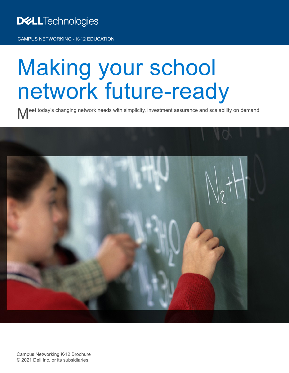### **DELLTechnologies**

CAMPUS NETWORKING - K-12 EDUCATION

### Making your school network future-ready

Meet today's changing network needs with simplicity, investment assurance and scalability on demand

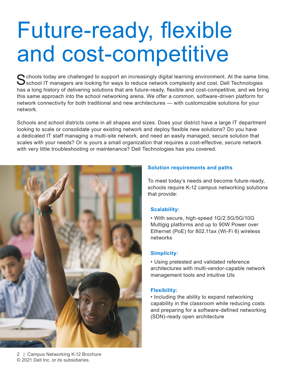## Future-ready, flexible and cost-competitive

C chools today are challenged to support an increasingly digital learning environment. At the same time, School IT managers are looking for ways to reduce network complexity and cost. Dell Technologies has a long history of delivering solutions that are future-ready, flexible and cost-competitive, and we bring this same approach into the school networking arena. We offer a common, software-driven platform for network connectivity for both traditional and new architectures — with customizable solutions for your network.

Schools and school districts come in all shapes and sizes. Does your district have a large IT department looking to scale or consolidate your existing network and deploy flexible new solutions? Do you have a dedicated IT staff managing a multi-site network, and need an easily managed, secure solution that scales with your needs? Or is yours a small organization that requires a cost-effective, secure network with very little troubleshooting or maintenance? Dell Technologies has you covered.



#### **Solution requirements and paths**

To meet today's needs and become future-ready, schools require K-12 campus networking solutions that provide:

#### **Scalability:**

• With secure, high-speed 1G/2.5G/5G/10G Multigig platforms and up to 90W Power over Ethernet (PoE) for 802.11ax (Wi-Fi 6) wireless networks

#### **Simplicity:**

• Using pretested and validated reference architectures with multi-vendor-capable network management tools and intuitive UIs

#### **Flexibility:**

• Including the ability to expand networking capability in the classroom while reducing costs and preparing for a software-defined networking (SDN)-ready open architecture

2 | Campus Networking K-12 Brochure © 2021 Dell Inc. or its subsidiaries.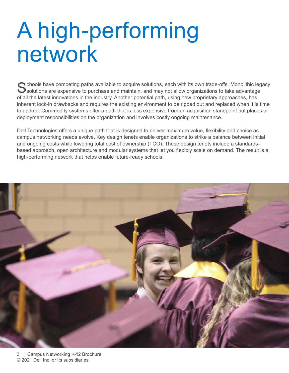## A high-performing network

Schools have competing paths available to acquire solutions, each with its own trade-offs. Monolithic legacy<br>Solutions are expensive to purchase and maintain, and may not allow organizations to take advantage of all the latest innovations in the industry. Another potential path, using new proprietary approaches, has inherent lock-in drawbacks and requires the existing environment to be ripped out and replaced when it is time to update. Commodity systems offer a path that is less expensive from an acquisition standpoint but places all deployment responsibilities on the organization and involves costly ongoing maintenance.

Dell Technologies offers a unique path that is designed to deliver maximum value, flexibility and choice as campus networking needs evolve. Key design tenets enable organizations to strike a balance between initial and ongoing costs while lowering total cost of ownership (TCO). These design tenets include a standardsbased approach, open architecture and modular systems that let you flexibly scale on demand. The result is a high-performing network that helps enable future-ready schools.

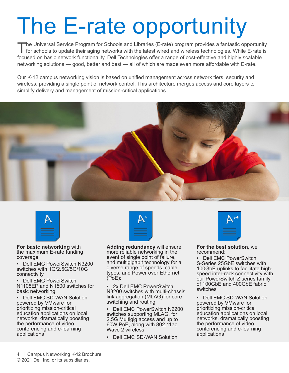# The E-rate opportunity

The Universal Service Program for Schools and Libraries (E-rate) program provides a fantastic opportunity<br>for schools to update their aging networks with the latest wired and wireless technologies. While E-rate is focused on basic network functionality, Dell Technologies offer a range of cost-effective and highly scalable networking solutions — good, better and best — all of which are made even more affordable with E-rate.

Our K-12 campus networking vision is based on unified management across network tiers, security and wireless, providing a single point of network control. This architecture merges access and core layers to simplify delivery and management of mission-critical applications.





**For basic networking** with the maximum E-rate funding coverage:

• Dell EMC PowerSwitch N3200 switches with 1G/2.5G/5G/10G connectivity

• Dell EMC PowerSwitch N1108EP and N1500 switches for basic networking

Dell EMC SD-WAN Solution powered by VMware for prioritizing mission-critical education applications on local networks, dramatically boosting the performance of video conferencing and e-learning applications



**Adding redundancy** will ensure more reliable networking in the event of single point of failure, and multigigabit technology for a diverse range of speeds, cable types, and Power over Ethernet (PoE):

• 2x Dell EMC PowerSwitch N3200 switches with multi-chassis link aggregation (MLAG) for core switching and routing

• Dell EMC PowerSwitch N2200 switches supporting MLAG, for 2.5G Multigig access and up to 60W PoE, along with 802.11ac Wave 2 wireless

• Dell EMC SD-WAN Solution



**For the best solution**, we recommend:

• Dell EMC PowerSwitch S-Series 25GbE switches with 100GbE uplinks to facilitate highspeed inter-rack connectivity with our PowerSwitch Z series family of 100GbE and 400GbE fabric switches

• Dell EMC SD-WAN Solution powered by VMware for prioritizing mission-critical education applications on local networks, dramatically boosting the performance of video conferencing and e-learning applications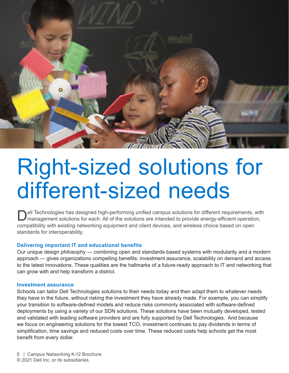

### Right-sized solutions for different-sized needs

ell Technologies has designed high-performing unified campus solutions for different requirements, with management solutions for each. All of the solutions are intended to provide energy-efficient operation, compatibility with existing networking equipment and client devices, and wireless choice based on open standards for interoperability.

#### **Delivering important IT and educational benefits**

Our unique design philosophy — combining open and standards-based systems with modularity and a modern approach — gives organizations compelling benefits: investment assurance, scalability on demand and access to the latest innovations. These qualities are the hallmarks of a future-ready approach to IT and networking that can grow with and help transform a district.

#### **Investment assurance**

Schools can tailor Dell Technologies solutions to their needs today and then adapt them to whatever needs they have in the future, without risking the investment they have already made. For example, you can simplify your transition to software-defined models and reduce risks commonly associated with software-defined deployments by using a variety of our SDN solutions. These solutions have been mutually developed, tested and validated with leading software providers and are fully supported by Dell Technologies. And because we focus on engineering solutions for the lowest TCO, investment continues to pay dividends in terms of simplification, time savings and reduced costs over time. These reduced costs help schools get the most benefit from every dollar.